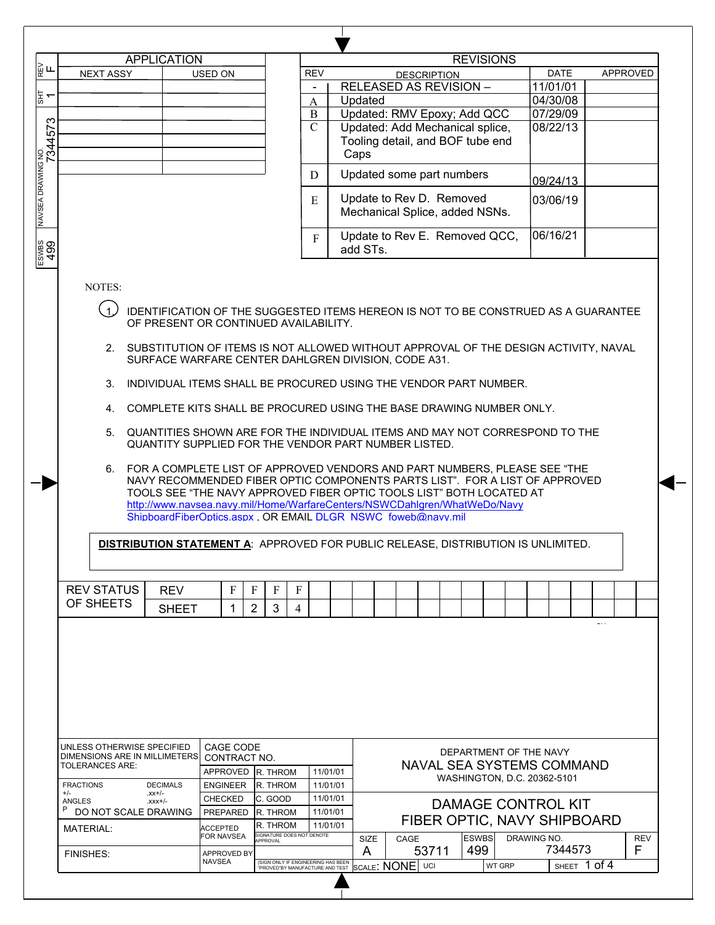|                        |                                     | <b>APPLICATION</b>            |                                       |                                       |                |                                                                                                                                                                                                                                                                                                                                                                                                                                                                                                                          | <b>REVISIONS</b>            |                                                                           |            |          |
|------------------------|-------------------------------------|-------------------------------|---------------------------------------|---------------------------------------|----------------|--------------------------------------------------------------------------------------------------------------------------------------------------------------------------------------------------------------------------------------------------------------------------------------------------------------------------------------------------------------------------------------------------------------------------------------------------------------------------------------------------------------------------|-----------------------------|---------------------------------------------------------------------------|------------|----------|
|                        | <b>NEXT ASSY</b>                    |                               | USED ON                               |                                       | <b>REV</b>     |                                                                                                                                                                                                                                                                                                                                                                                                                                                                                                                          | <b>DESCRIPTION</b>          | <b>DATE</b>                                                               |            | APPROVED |
|                        |                                     |                               |                                       |                                       | $\blacksquare$ | <b>RELEASED AS REVISION -</b>                                                                                                                                                                                                                                                                                                                                                                                                                                                                                            |                             | 11/01/01                                                                  |            |          |
|                        |                                     |                               |                                       |                                       | A              | Updated                                                                                                                                                                                                                                                                                                                                                                                                                                                                                                                  |                             | 04/30/08                                                                  |            |          |
|                        |                                     |                               |                                       |                                       | $\bf{B}$       | Updated: RMV Epoxy; Add QCC                                                                                                                                                                                                                                                                                                                                                                                                                                                                                              |                             | 07/29/09                                                                  |            |          |
|                        |                                     |                               |                                       |                                       | $\mathcal{C}$  | Updated: Add Mechanical splice,                                                                                                                                                                                                                                                                                                                                                                                                                                                                                          |                             | 08/22/13                                                                  |            |          |
|                        |                                     |                               |                                       |                                       |                | Tooling detail, and BOF tube end                                                                                                                                                                                                                                                                                                                                                                                                                                                                                         |                             |                                                                           |            |          |
|                        |                                     |                               |                                       |                                       |                | Caps                                                                                                                                                                                                                                                                                                                                                                                                                                                                                                                     |                             |                                                                           |            |          |
|                        |                                     |                               |                                       |                                       |                |                                                                                                                                                                                                                                                                                                                                                                                                                                                                                                                          |                             |                                                                           |            |          |
|                        |                                     |                               |                                       |                                       | D              | Updated some part numbers                                                                                                                                                                                                                                                                                                                                                                                                                                                                                                |                             | 09/24/13                                                                  |            |          |
|                        |                                     |                               |                                       |                                       |                | Update to Rev D. Removed                                                                                                                                                                                                                                                                                                                                                                                                                                                                                                 |                             |                                                                           |            |          |
|                        |                                     |                               |                                       |                                       | E              | Mechanical Splice, added NSNs.                                                                                                                                                                                                                                                                                                                                                                                                                                                                                           |                             | 03/06/19                                                                  |            |          |
|                        |                                     |                               |                                       |                                       |                |                                                                                                                                                                                                                                                                                                                                                                                                                                                                                                                          |                             |                                                                           |            |          |
|                        |                                     |                               |                                       |                                       | $\mathbf{F}$   | Update to Rev E. Removed QCC,                                                                                                                                                                                                                                                                                                                                                                                                                                                                                            |                             | 06/16/21                                                                  |            |          |
|                        |                                     |                               |                                       |                                       |                | add STs.                                                                                                                                                                                                                                                                                                                                                                                                                                                                                                                 |                             |                                                                           |            |          |
|                        |                                     |                               |                                       |                                       |                |                                                                                                                                                                                                                                                                                                                                                                                                                                                                                                                          |                             |                                                                           |            |          |
|                        | NOTES:<br>.<br>ر1<br>3.<br>4.<br>6. |                               | OF PRESENT OR CONTINUED AVAILABILITY. |                                       |                | IDENTIFICATION OF THE SUGGESTED ITEMS HEREON IS NOT TO BE CONSTRUED AS A GUARANTEE<br>2. SUBSTITUTION OF ITEMS IS NOT ALLOWED WITHOUT APPROVAL OF THE DESIGN ACTIVITY, NAVAL<br>SURFACE WARFARE CENTER DAHLGREN DIVISION, CODE A31.<br>INDIVIDUAL ITEMS SHALL BE PROCURED USING THE VENDOR PART NUMBER.<br>COMPLETE KITS SHALL BE PROCURED USING THE BASE DRAWING NUMBER ONLY.<br>5. QUANTITIES SHOWN ARE FOR THE INDIVIDUAL ITEMS AND MAY NOT CORRESPOND TO THE<br>QUANTITY SUPPLIED FOR THE VENDOR PART NUMBER LISTED. |                             |                                                                           |            |          |
|                        |                                     |                               |                                       |                                       |                | NAVY RECOMMENDED FIBER OPTIC COMPONENTS PARTS LIST". FOR A LIST OF APPROVED<br>TOOLS SEE "THE NAVY APPROVED FIBER OPTIC TOOLS LIST" BOTH LOCATED AT<br>http://www.navsea.navy.mil/Home/WarfareCenters/NSWCDahlgren/WhatWeDo/Navy<br>ShipboardFiberOptics.aspx . OR EMAIL DLGR NSWC foweb@navv.mil<br><b>DISTRIBUTION STATEMENT A: APPROVED FOR PUBLIC RELEASE, DISTRIBUTION IS UNLIMITED.</b>                                                                                                                            |                             | FOR A COMPLETE LIST OF APPROVED VENDORS AND PART NUMBERS, PLEASE SEE "THE |            |          |
|                        |                                     |                               |                                       |                                       |                |                                                                                                                                                                                                                                                                                                                                                                                                                                                                                                                          |                             |                                                                           |            |          |
|                        | <b>REV STATUS</b>                   | <b>REV</b>                    | F                                     | F<br>F<br>F                           |                |                                                                                                                                                                                                                                                                                                                                                                                                                                                                                                                          |                             |                                                                           |            |          |
|                        | OF SHEETS                           | <b>SHEET</b>                  | 1                                     | 2<br>3<br>4                           |                |                                                                                                                                                                                                                                                                                                                                                                                                                                                                                                                          |                             |                                                                           | $\sim 100$ |          |
|                        |                                     |                               |                                       |                                       |                |                                                                                                                                                                                                                                                                                                                                                                                                                                                                                                                          |                             |                                                                           |            |          |
|                        | UNLESS OTHERWISE SPECIFIED          |                               | CAGE CODE                             |                                       |                |                                                                                                                                                                                                                                                                                                                                                                                                                                                                                                                          |                             |                                                                           |            |          |
|                        |                                     | DIMENSIONS ARE IN MILLIMETERS | CONTRACT NO.                          |                                       |                |                                                                                                                                                                                                                                                                                                                                                                                                                                                                                                                          | DEPARTMENT OF THE NAVY      |                                                                           |            |          |
|                        | TOLERANCES ARE:                     |                               | APPROVED                              | <b>R. THROM</b>                       | 11/01/01       |                                                                                                                                                                                                                                                                                                                                                                                                                                                                                                                          | NAVAL SEA SYSTEMS COMMAND   |                                                                           |            |          |
| <b>FRACTIONS</b>       |                                     | <b>DECIMALS</b>               | <b>ENGINEER</b>                       | R. THROM                              | 11/01/01       |                                                                                                                                                                                                                                                                                                                                                                                                                                                                                                                          | WASHINGTON, D.C. 20362-5101 |                                                                           |            |          |
| $+/-$<br><b>ANGLES</b> |                                     | $-xx+/-$<br>$xxx +/-$         | <b>CHECKED</b>                        | IC. GOOD                              | 11/01/01       |                                                                                                                                                                                                                                                                                                                                                                                                                                                                                                                          |                             |                                                                           |            |          |
| P                      |                                     | DO NOT SCALE DRAWING          | <b>PREPARED</b>                       | R. THROM                              | 11/01/01       |                                                                                                                                                                                                                                                                                                                                                                                                                                                                                                                          | <b>DAMAGE CONTROL KIT</b>   |                                                                           |            |          |
|                        | <b>MATERIAL:</b>                    |                               | <b>ACCEPTED</b>                       | R. THROM                              | 11/01/01       |                                                                                                                                                                                                                                                                                                                                                                                                                                                                                                                          | FIBER OPTIC, NAVY SHIPBOARD |                                                                           |            |          |
|                        |                                     |                               | FOR NAVSEA                            | SIGNATURE DOES NOT DENOTE<br>APPROVAL |                | SIZE<br>CAGE                                                                                                                                                                                                                                                                                                                                                                                                                                                                                                             | <b>ESWBS</b>                | DRAWING NO.                                                               |            | REV      |
|                        | <b>FINISHES:</b>                    |                               | <b>APPROVED BY</b>                    |                                       |                | A                                                                                                                                                                                                                                                                                                                                                                                                                                                                                                                        | 499<br>53711                | 7344573                                                                   |            | F        |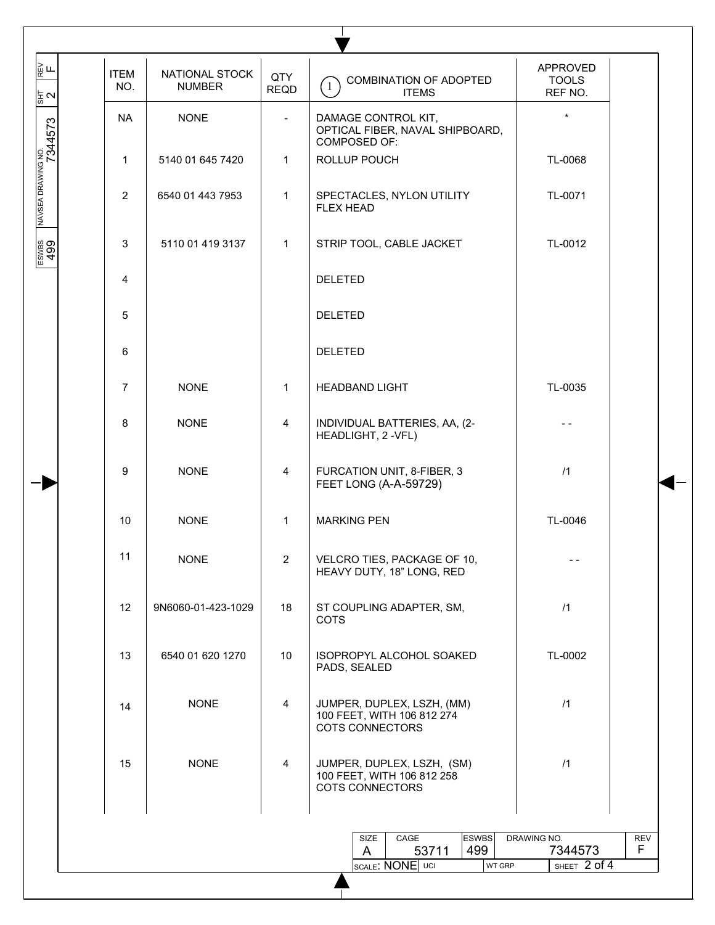| ∏<br>⊮⊞<br>동지                 | <b>ITEM</b><br>NO. | NATIONAL STOCK<br><b>NUMBER</b> | QTY<br><b>REQD</b>       | COMBINATION OF ADOPTED<br>$\left(1\right)$<br><b>ITEMS</b>                         | APPROVED<br><b>TOOLS</b><br>REF NO. |            |
|-------------------------------|--------------------|---------------------------------|--------------------------|------------------------------------------------------------------------------------|-------------------------------------|------------|
|                               | <b>NA</b>          | <b>NONE</b>                     | $\overline{\phantom{a}}$ | DAMAGE CONTROL KIT,<br>OPTICAL FIBER, NAVAL SHIPBOARD,<br>COMPOSED OF:             | $\star$                             |            |
|                               | $\mathbf{1}$       | 5140 01 645 7420                | $\mathbf{1}$             | ROLLUP POUCH                                                                       | TL-0068                             |            |
| MAVSEA DRAWING NO.<br>7344573 | $\overline{2}$     | 6540 01 443 7953                | $\mathbf{1}$             | SPECTACLES, NYLON UTILITY<br><b>FLEX HEAD</b>                                      | TL-0071                             |            |
| ESWBS<br>499                  | 3                  | 5110 01 419 3137                | $\mathbf{1}$             | STRIP TOOL, CABLE JACKET                                                           | TL-0012                             |            |
|                               | 4                  |                                 |                          | <b>DELETED</b>                                                                     |                                     |            |
|                               | 5                  |                                 |                          | <b>DELETED</b>                                                                     |                                     |            |
|                               | 6                  |                                 |                          | <b>DELETED</b>                                                                     |                                     |            |
|                               | $\overline{7}$     | <b>NONE</b>                     | $\mathbf{1}$             | <b>HEADBAND LIGHT</b>                                                              | TL-0035                             |            |
|                               | 8                  | <b>NONE</b>                     | 4                        | INDIVIDUAL BATTERIES, AA, (2-<br>HEADLIGHT, 2 - VFL)                               |                                     |            |
|                               | 9                  | <b>NONE</b>                     | $\overline{4}$           | FURCATION UNIT, 8-FIBER, 3<br>FEET LONG (A-A-59729)                                | /1                                  |            |
|                               | 10                 | <b>NONE</b>                     | $\mathbf{1}$             | <b>MARKING PEN</b>                                                                 | TL-0046                             |            |
|                               | 11                 | <b>NONE</b>                     | $\overline{2}$           | VELCRO TIES, PACKAGE OF 10,<br>HEAVY DUTY, 18" LONG, RED                           |                                     |            |
|                               | 12                 | 9N6060-01-423-1029              | 18                       | ST COUPLING ADAPTER, SM,<br><b>COTS</b>                                            | /1                                  |            |
|                               | 13                 | 6540 01 620 1270                | 10                       | ISOPROPYL ALCOHOL SOAKED<br>PADS, SEALED                                           | TL-0002                             |            |
|                               | 14                 | <b>NONE</b>                     | $\overline{4}$           | JUMPER, DUPLEX, LSZH, (MM)<br>100 FEET, WITH 106 812 274<br><b>COTS CONNECTORS</b> | /1                                  |            |
|                               | 15                 | <b>NONE</b>                     | $\overline{4}$           | JUMPER, DUPLEX, LSZH, (SM)<br>100 FEET, WITH 106 812 258<br>COTS CONNECTORS        | /1                                  |            |
|                               |                    |                                 |                          | <b>ESWBS</b><br>SIZE<br>CAGE                                                       | DRAWING NO.                         | <b>REV</b> |
|                               |                    |                                 |                          | 499<br>53711<br>A<br><b>SCALE: NONE</b> UCI<br>WT GRP                              | 7344573<br>SHEET 2 of 4             | F.         |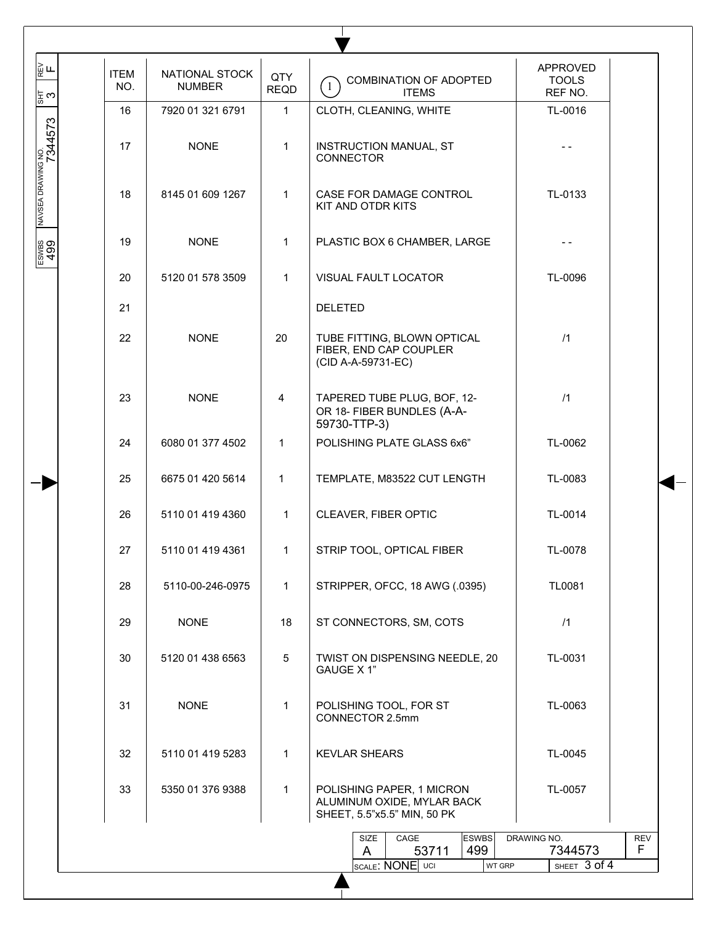| ∏<br>⊮ ∟<br> ‡ ෆ              | <b>ITEM</b><br>NO. | NATIONAL STOCK<br><b>NUMBER</b> | QTY<br><b>REQD</b> | <b>COMBINATION OF ADOPTED</b><br>$\left(1\right)$<br><b>ITEMS</b>                      | APPROVED<br><b>TOOLS</b><br>REF NO.       |
|-------------------------------|--------------------|---------------------------------|--------------------|----------------------------------------------------------------------------------------|-------------------------------------------|
|                               | 16                 | 7920 01 321 6791                | $\mathbf{1}$       | CLOTH, CLEANING, WHITE                                                                 | TL-0016                                   |
| MAVSEA DRAWING NO.<br>7344573 | 17                 | <b>NONE</b>                     | $\mathbf{1}$       | <b>INSTRUCTION MANUAL, ST</b><br>CONNECTOR                                             |                                           |
|                               | 18                 | 8145 01 609 1267                | $\mathbf{1}$       | CASE FOR DAMAGE CONTROL<br>KIT AND OTDR KITS                                           | TL-0133                                   |
| ESWBS<br>499                  | 19                 | <b>NONE</b>                     | 1                  | PLASTIC BOX 6 CHAMBER, LARGE                                                           |                                           |
|                               | 20                 | 5120 01 578 3509                | $\mathbf{1}$       | VISUAL FAULT LOCATOR                                                                   | TL-0096                                   |
|                               | 21                 |                                 |                    | <b>DELETED</b>                                                                         |                                           |
|                               | 22                 | <b>NONE</b>                     | 20                 | TUBE FITTING, BLOWN OPTICAL<br>FIBER, END CAP COUPLER<br>(CID A-A-59731-EC)            | /1                                        |
|                               | 23                 | <b>NONE</b>                     | 4                  | TAPERED TUBE PLUG, BOF, 12-<br>OR 18- FIBER BUNDLES (A-A-<br>59730-TTP-3)              | /1                                        |
|                               | 24                 | 6080 01 377 4502                | $\mathbf{1}$       | POLISHING PLATE GLASS 6x6"                                                             | TL-0062                                   |
|                               | 25                 | 6675 01 420 5614                | 1                  | TEMPLATE, M83522 CUT LENGTH                                                            | TL-0083                                   |
|                               | 26                 | 5110 01 419 4360                | $\mathbf{1}$       | CLEAVER, FIBER OPTIC                                                                   | TL-0014                                   |
|                               | 27                 | 5110 01 419 4361                | 1                  | STRIP TOOL, OPTICAL FIBER                                                              | TL-0078                                   |
|                               | 28                 | 5110-00-246-0975                | $\mathbf{1}$       | STRIPPER, OFCC, 18 AWG (.0395)                                                         | TL0081                                    |
|                               | 29                 | <b>NONE</b>                     | 18                 | ST CONNECTORS, SM, COTS                                                                | /1                                        |
|                               | 30                 | 5120 01 438 6563                | $5\phantom{.0}$    | TWIST ON DISPENSING NEEDLE, 20<br>GAUGE X 1"                                           | TL-0031                                   |
|                               | 31                 | <b>NONE</b>                     | $\mathbf{1}$       | POLISHING TOOL, FOR ST<br>CONNECTOR 2.5mm                                              | TL-0063                                   |
|                               | 32                 | 5110 01 419 5283                | $\mathbf 1$        | <b>KEVLAR SHEARS</b>                                                                   | TL-0045                                   |
|                               | 33                 | 5350 01 376 9388                | $\mathbf{1}$       | POLISHING PAPER, 1 MICRON<br>ALUMINUM OXIDE, MYLAR BACK<br>SHEET, 5.5"x5.5" MIN, 50 PK | TL-0057                                   |
|                               |                    |                                 |                    | <b>ESWBS</b><br>SIZE<br>CAGE<br>499<br>53711<br>A                                      | DRAWING NO.<br><b>REV</b><br>F<br>7344573 |
|                               |                    |                                 |                    | SCALE: NONE UCI<br>WT GRP                                                              | SHEET 3 of 4                              |